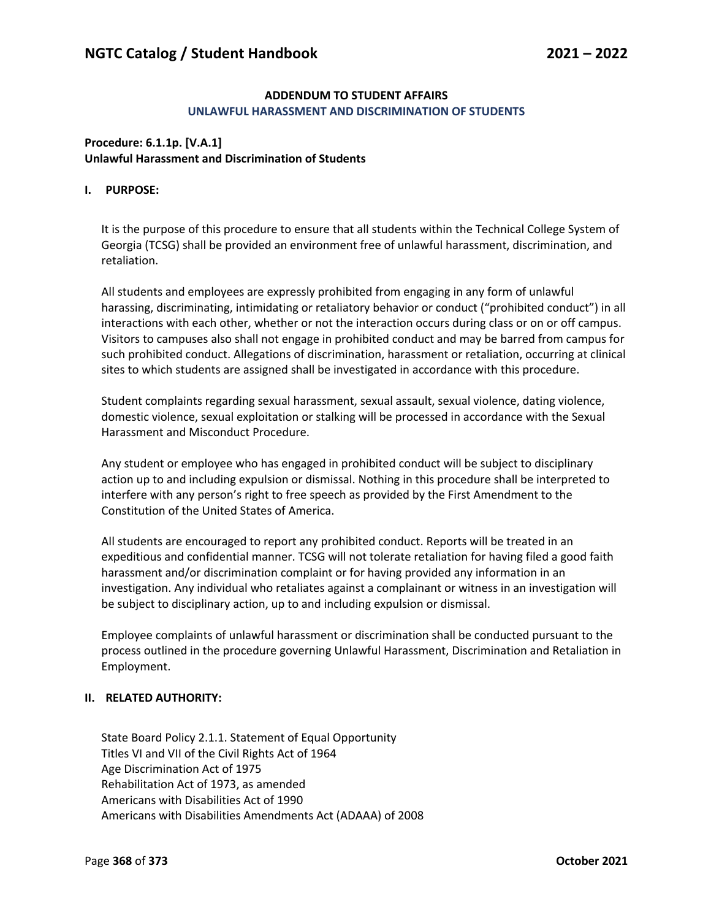## **ADDENDUM TO STUDENT AFFAIRS UNLAWFUL HARASSMENT AND DISCRIMINATION OF STUDENTS**

## **Procedure: 6.1.1p. [V.A.1] Unlawful Harassment and Discrimination of Students**

## **I. PURPOSE:**

It is the purpose of this procedure to ensure that all students within the Technical College System of Georgia (TCSG) shall be provided an environment free of unlawful harassment, discrimination, and retaliation.

All students and employees are expressly prohibited from engaging in any form of unlawful harassing, discriminating, intimidating or retaliatory behavior or conduct ("prohibited conduct") in all interactions with each other, whether or not the interaction occurs during class or on or off campus. Visitors to campuses also shall not engage in prohibited conduct and may be barred from campus for such prohibited conduct. Allegations of discrimination, harassment or retaliation, occurring at clinical sites to which students are assigned shall be investigated in accordance with this procedure.

Student complaints regarding sexual harassment, sexual assault, sexual violence, dating violence, domestic violence, sexual exploitation or stalking will be processed in accordance with the Sexual Harassment and Misconduct Procedure.

Any student or employee who has engaged in prohibited conduct will be subject to disciplinary action up to and including expulsion or dismissal. Nothing in this procedure shall be interpreted to interfere with any person's right to free speech as provided by the First Amendment to the Constitution of the United States of America.

All students are encouraged to report any prohibited conduct. Reports will be treated in an expeditious and confidential manner. TCSG will not tolerate retaliation for having filed a good faith harassment and/or discrimination complaint or for having provided any information in an investigation. Any individual who retaliates against a complainant or witness in an investigation will be subject to disciplinary action, up to and including expulsion or dismissal.

Employee complaints of unlawful harassment or discrimination shall be conducted pursuant to the process outlined in the procedure governing Unlawful Harassment, Discrimination and Retaliation in Employment.

## **II. RELATED AUTHORITY:**

State Board Policy 2.1.1. Statement of Equal Opportunity Titles VI and VII of the Civil Rights Act of 1964 Age Discrimination Act of 1975 Rehabilitation Act of 1973, as amended Americans with Disabilities Act of 1990 Americans with Disabilities Amendments Act (ADAAA) of 2008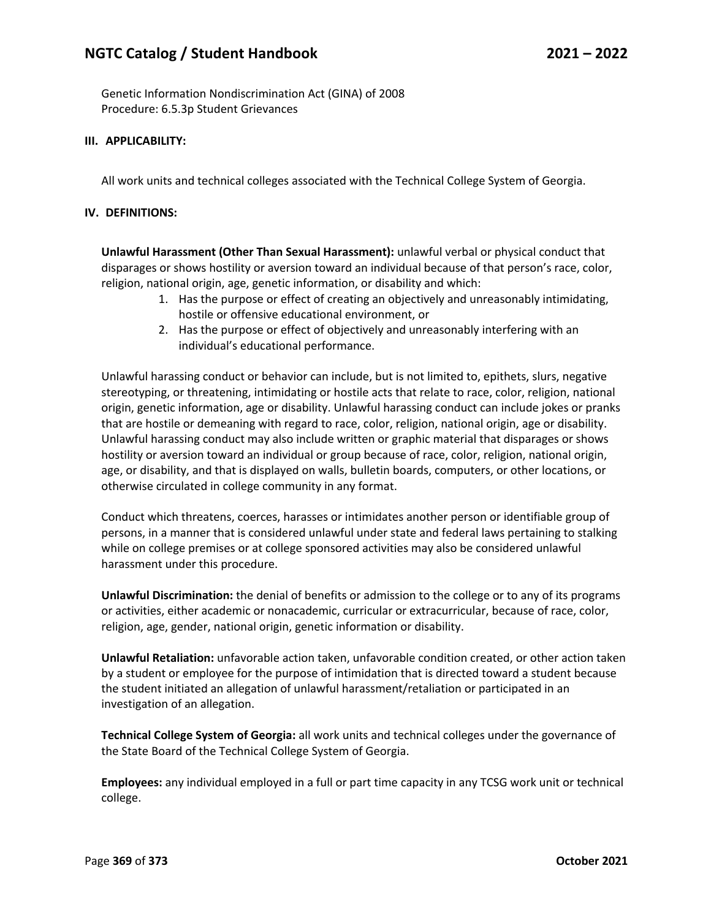# **NGTC Catalog / Student Handbook 2021 – 2022**

Genetic Information Nondiscrimination Act (GINA) of 2008 Procedure: 6.5.3p Student Grievances

#### **III. APPLICABILITY:**

All work units and technical colleges associated with the Technical College System of Georgia.

#### **IV. DEFINITIONS:**

**Unlawful Harassment (Other Than Sexual Harassment):** unlawful verbal or physical conduct that disparages or shows hostility or aversion toward an individual because of that person's race, color, religion, national origin, age, genetic information, or disability and which:

- 1. Has the purpose or effect of creating an objectively and unreasonably intimidating, hostile or offensive educational environment, or
- 2. Has the purpose or effect of objectively and unreasonably interfering with an individual's educational performance.

Unlawful harassing conduct or behavior can include, but is not limited to, epithets, slurs, negative stereotyping, or threatening, intimidating or hostile acts that relate to race, color, religion, national origin, genetic information, age or disability. Unlawful harassing conduct can include jokes or pranks that are hostile or demeaning with regard to race, color, religion, national origin, age or disability. Unlawful harassing conduct may also include written or graphic material that disparages or shows hostility or aversion toward an individual or group because of race, color, religion, national origin, age, or disability, and that is displayed on walls, bulletin boards, computers, or other locations, or otherwise circulated in college community in any format.

Conduct which threatens, coerces, harasses or intimidates another person or identifiable group of persons, in a manner that is considered unlawful under state and federal laws pertaining to stalking while on college premises or at college sponsored activities may also be considered unlawful harassment under this procedure.

**Unlawful Discrimination:** the denial of benefits or admission to the college or to any of its programs or activities, either academic or nonacademic, curricular or extracurricular, because of race, color, religion, age, gender, national origin, genetic information or disability.

**Unlawful Retaliation:** unfavorable action taken, unfavorable condition created, or other action taken by a student or employee for the purpose of intimidation that is directed toward a student because the student initiated an allegation of unlawful harassment/retaliation or participated in an investigation of an allegation.

**Technical College System of Georgia:** all work units and technical colleges under the governance of the State Board of the Technical College System of Georgia.

**Employees:** any individual employed in a full or part time capacity in any TCSG work unit or technical college.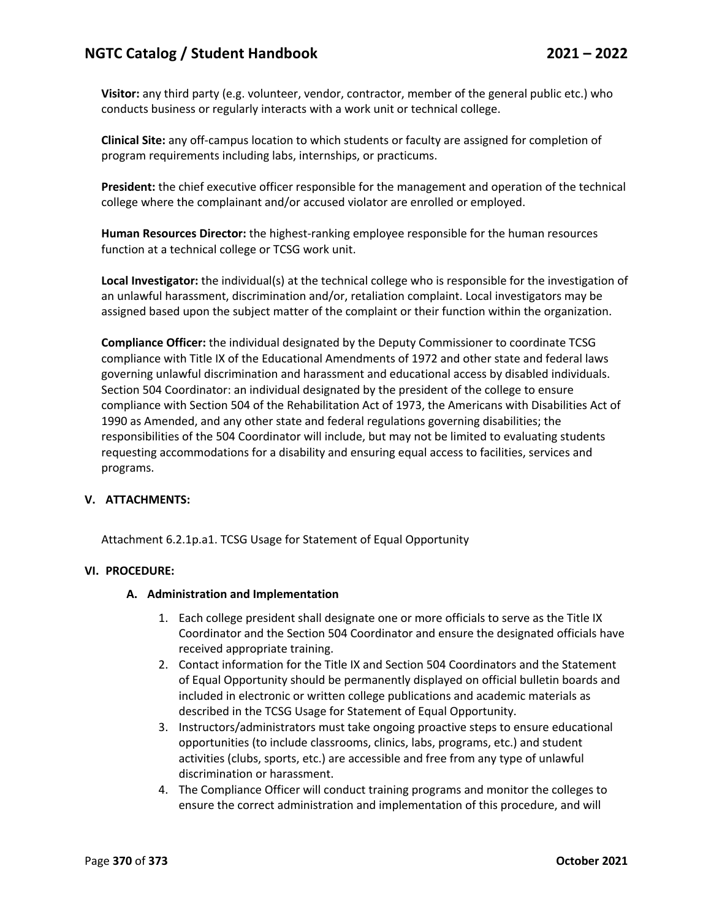# **NGTC Catalog / Student Handbook 2021 – 2022**

**Visitor:** any third party (e.g. volunteer, vendor, contractor, member of the general public etc.) who conducts business or regularly interacts with a work unit or technical college.

**Clinical Site:** any off-campus location to which students or faculty are assigned for completion of program requirements including labs, internships, or practicums.

**President:** the chief executive officer responsible for the management and operation of the technical college where the complainant and/or accused violator are enrolled or employed.

**Human Resources Director:** the highest-ranking employee responsible for the human resources function at a technical college or TCSG work unit.

**Local Investigator:** the individual(s) at the technical college who is responsible for the investigation of an unlawful harassment, discrimination and/or, retaliation complaint. Local investigators may be assigned based upon the subject matter of the complaint or their function within the organization.

**Compliance Officer:** the individual designated by the Deputy Commissioner to coordinate TCSG compliance with Title IX of the Educational Amendments of 1972 and other state and federal laws governing unlawful discrimination and harassment and educational access by disabled individuals. Section 504 Coordinator: an individual designated by the president of the college to ensure compliance with Section 504 of the Rehabilitation Act of 1973, the Americans with Disabilities Act of 1990 as Amended, and any other state and federal regulations governing disabilities; the responsibilities of the 504 Coordinator will include, but may not be limited to evaluating students requesting accommodations for a disability and ensuring equal access to facilities, services and programs.

#### **V. ATTACHMENTS:**

Attachment 6.2.1p.a1. TCSG Usage for Statement of Equal Opportunity

#### **VI. PROCEDURE:**

#### **A. Administration and Implementation**

- 1. Each college president shall designate one or more officials to serve as the Title IX Coordinator and the Section 504 Coordinator and ensure the designated officials have received appropriate training.
- 2. Contact information for the Title IX and Section 504 Coordinators and the Statement of Equal Opportunity should be permanently displayed on official bulletin boards and included in electronic or written college publications and academic materials as described in the TCSG Usage for Statement of Equal Opportunity.
- 3. Instructors/administrators must take ongoing proactive steps to ensure educational opportunities (to include classrooms, clinics, labs, programs, etc.) and student activities (clubs, sports, etc.) are accessible and free from any type of unlawful discrimination or harassment.
- 4. The Compliance Officer will conduct training programs and monitor the colleges to ensure the correct administration and implementation of this procedure, and will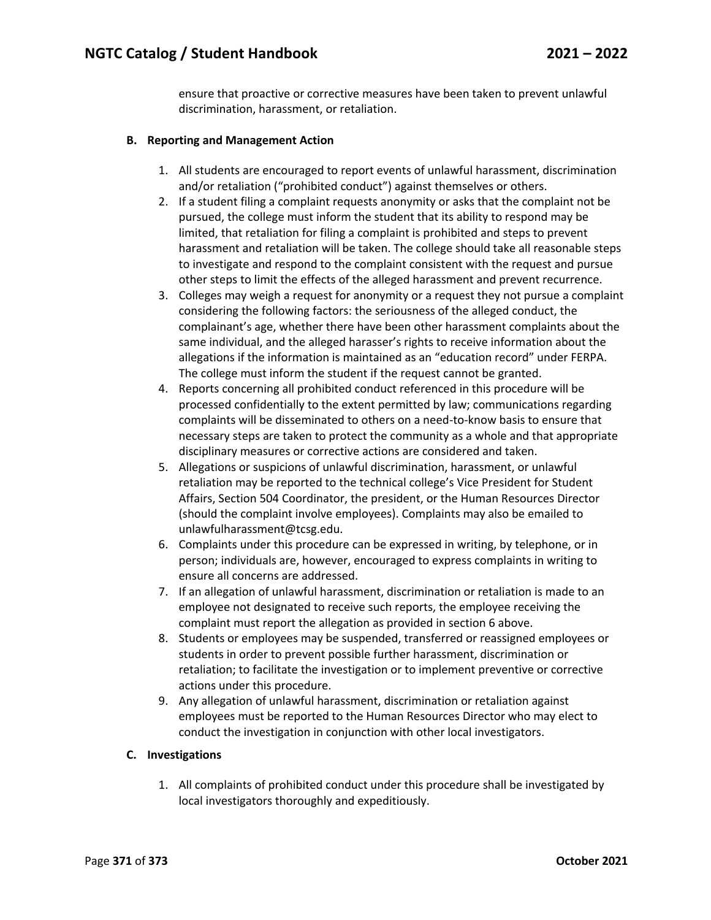ensure that proactive or corrective measures have been taken to prevent unlawful discrimination, harassment, or retaliation.

## **B. Reporting and Management Action**

- 1. All students are encouraged to report events of unlawful harassment, discrimination and/or retaliation ("prohibited conduct") against themselves or others.
- 2. If a student filing a complaint requests anonymity or asks that the complaint not be pursued, the college must inform the student that its ability to respond may be limited, that retaliation for filing a complaint is prohibited and steps to prevent harassment and retaliation will be taken. The college should take all reasonable steps to investigate and respond to the complaint consistent with the request and pursue other steps to limit the effects of the alleged harassment and prevent recurrence.
- 3. Colleges may weigh a request for anonymity or a request they not pursue a complaint considering the following factors: the seriousness of the alleged conduct, the complainant's age, whether there have been other harassment complaints about the same individual, and the alleged harasser's rights to receive information about the allegations if the information is maintained as an "education record" under FERPA. The college must inform the student if the request cannot be granted.
- 4. Reports concerning all prohibited conduct referenced in this procedure will be processed confidentially to the extent permitted by law; communications regarding complaints will be disseminated to others on a need-to-know basis to ensure that necessary steps are taken to protect the community as a whole and that appropriate disciplinary measures or corrective actions are considered and taken.
- 5. Allegations or suspicions of unlawful discrimination, harassment, or unlawful retaliation may be reported to the technical college's Vice President for Student Affairs, Section 504 Coordinator, the president, or the Human Resources Director (should the complaint involve employees). Complaints may also be emailed to unlawfulharassment@tcsg.edu.
- 6. Complaints under this procedure can be expressed in writing, by telephone, or in person; individuals are, however, encouraged to express complaints in writing to ensure all concerns are addressed.
- 7. If an allegation of unlawful harassment, discrimination or retaliation is made to an employee not designated to receive such reports, the employee receiving the complaint must report the allegation as provided in section 6 above.
- 8. Students or employees may be suspended, transferred or reassigned employees or students in order to prevent possible further harassment, discrimination or retaliation; to facilitate the investigation or to implement preventive or corrective actions under this procedure.
- 9. Any allegation of unlawful harassment, discrimination or retaliation against employees must be reported to the Human Resources Director who may elect to conduct the investigation in conjunction with other local investigators.

#### **C. Investigations**

1. All complaints of prohibited conduct under this procedure shall be investigated by local investigators thoroughly and expeditiously.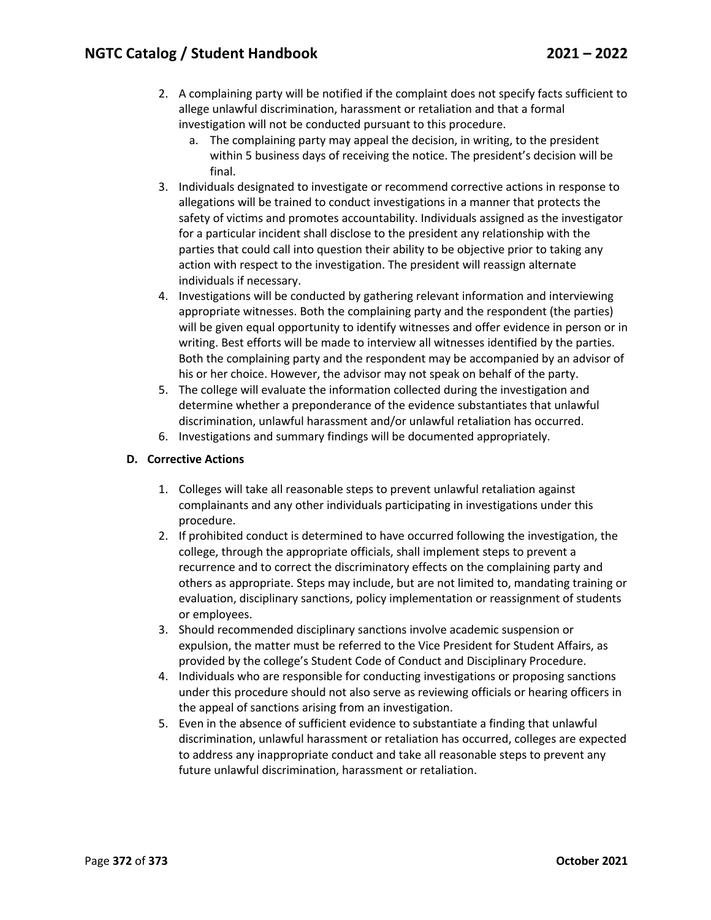- 2. A complaining party will be notified if the complaint does not specify facts sufficient to allege unlawful discrimination, harassment or retaliation and that a formal investigation will not be conducted pursuant to this procedure.
	- a. The complaining party may appeal the decision, in writing, to the president within 5 business days of receiving the notice. The president's decision will be final.
- 3. Individuals designated to investigate or recommend corrective actions in response to allegations will be trained to conduct investigations in a manner that protects the safety of victims and promotes accountability. Individuals assigned as the investigator for a particular incident shall disclose to the president any relationship with the parties that could call into question their ability to be objective prior to taking any action with respect to the investigation. The president will reassign alternate individuals if necessary.
- 4. Investigations will be conducted by gathering relevant information and interviewing appropriate witnesses. Both the complaining party and the respondent (the parties) will be given equal opportunity to identify witnesses and offer evidence in person or in writing. Best efforts will be made to interview all witnesses identified by the parties. Both the complaining party and the respondent may be accompanied by an advisor of his or her choice. However, the advisor may not speak on behalf of the party.
- 5. The college will evaluate the information collected during the investigation and determine whether a preponderance of the evidence substantiates that unlawful discrimination, unlawful harassment and/or unlawful retaliation has occurred.
- 6. Investigations and summary findings will be documented appropriately.

# **D. Corrective Actions**

- 1. Colleges will take all reasonable steps to prevent unlawful retaliation against complainants and any other individuals participating in investigations under this procedure.
- 2. If prohibited conduct is determined to have occurred following the investigation, the college, through the appropriate officials, shall implement steps to prevent a recurrence and to correct the discriminatory effects on the complaining party and others as appropriate. Steps may include, but are not limited to, mandating training or evaluation, disciplinary sanctions, policy implementation or reassignment of students or employees.
- 3. Should recommended disciplinary sanctions involve academic suspension or expulsion, the matter must be referred to the Vice President for Student Affairs, as provided by the college's Student Code of Conduct and Disciplinary Procedure.
- 4. Individuals who are responsible for conducting investigations or proposing sanctions under this procedure should not also serve as reviewing officials or hearing officers in the appeal of sanctions arising from an investigation.
- 5. Even in the absence of sufficient evidence to substantiate a finding that unlawful discrimination, unlawful harassment or retaliation has occurred, colleges are expected to address any inappropriate conduct and take all reasonable steps to prevent any future unlawful discrimination, harassment or retaliation.